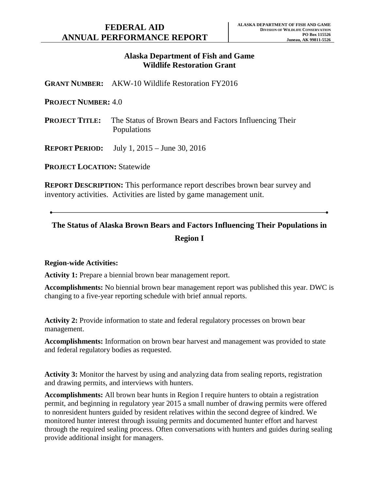# **Alaska Department of Fish and Game Wildlife Restoration Grant**

**GRANT NUMBER:** AKW-10 Wildlife Restoration FY2016

### **PROJECT NUMBER:** 4.0

**PROJECT TITLE:** The Status of Brown Bears and Factors Influencing Their Populations

**REPORT PERIOD:** July 1, 2015 – June 30, 2016

**PROJECT LOCATION:** Statewide

**REPORT DESCRIPTION:** This performance report describes brown bear survey and inventory activities. Activities are listed by game management unit.

# **The Status of Alaska Brown Bears and Factors Influencing Their Populations in Region I**

### **Region-wide Activities:**

**Activity 1:** Prepare a biennial brown bear management report.

**Accomplishments:** No biennial brown bear management report was published this year. DWC is changing to a five-year reporting schedule with brief annual reports.

**Activity 2:** Provide information to state and federal regulatory processes on brown bear management.

**Accomplishments:** Information on brown bear harvest and management was provided to state and federal regulatory bodies as requested.

**Activity 3:** Monitor the harvest by using and analyzing data from sealing reports, registration and drawing permits, and interviews with hunters.

**Accomplishments:** All brown bear hunts in Region I require hunters to obtain a registration permit, and beginning in regulatory year 2015 a small number of drawing permits were offered to nonresident hunters guided by resident relatives within the second degree of kindred. We monitored hunter interest through issuing permits and documented hunter effort and harvest through the required sealing process. Often conversations with hunters and guides during sealing provide additional insight for managers.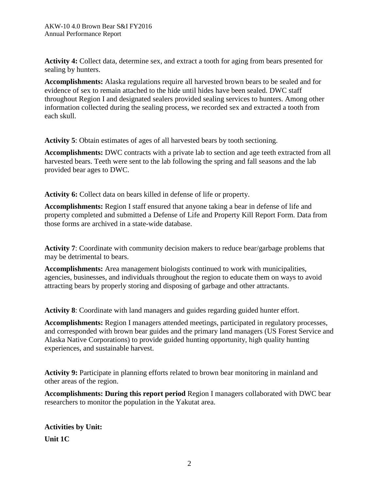**Activity 4:** Collect data, determine sex, and extract a tooth for aging from bears presented for sealing by hunters.

**Accomplishments:** Alaska regulations require all harvested brown bears to be sealed and for evidence of sex to remain attached to the hide until hides have been sealed. DWC staff throughout Region I and designated sealers provided sealing services to hunters. Among other information collected during the sealing process, we recorded sex and extracted a tooth from each skull.

**Activity 5**: Obtain estimates of ages of all harvested bears by tooth sectioning.

**Accomplishments:** DWC contracts with a private lab to section and age teeth extracted from all harvested bears. Teeth were sent to the lab following the spring and fall seasons and the lab provided bear ages to DWC.

**Activity 6:** Collect data on bears killed in defense of life or property.

**Accomplishments:** Region I staff ensured that anyone taking a bear in defense of life and property completed and submitted a Defense of Life and Property Kill Report Form. Data from those forms are archived in a state-wide database.

**Activity 7**: Coordinate with community decision makers to reduce bear/garbage problems that may be detrimental to bears.

**Accomplishments:** Area management biologists continued to work with municipalities, agencies, businesses, and individuals throughout the region to educate them on ways to avoid attracting bears by properly storing and disposing of garbage and other attractants.

**Activity 8**: Coordinate with land managers and guides regarding guided hunter effort.

**Accomplishments:** Region I managers attended meetings, participated in regulatory processes, and corresponded with brown bear guides and the primary land managers (US Forest Service and Alaska Native Corporations) to provide guided hunting opportunity, high quality hunting experiences, and sustainable harvest.

**Activity 9:** Participate in planning efforts related to brown bear monitoring in mainland and other areas of the region.

**Accomplishments: During this report period** Region I managers collaborated with DWC bear researchers to monitor the population in the Yakutat area.

**Activities by Unit: Unit 1C**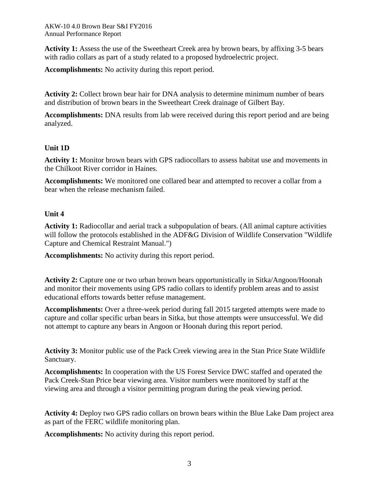**Activity 1:** Assess the use of the Sweetheart Creek area by brown bears, by affixing 3-5 bears with radio collars as part of a study related to a proposed hydroelectric project.

**Accomplishments:** No activity during this report period.

**Activity 2:** Collect brown bear hair for DNA analysis to determine minimum number of bears and distribution of brown bears in the Sweetheart Creek drainage of Gilbert Bay.

**Accomplishments:** DNA results from lab were received during this report period and are being analyzed.

# **Unit 1D**

**Activity 1:** Monitor brown bears with GPS radiocollars to assess habitat use and movements in the Chilkoot River corridor in Haines.

**Accomplishments:** We monitored one collared bear and attempted to recover a collar from a bear when the release mechanism failed.

# **Unit 4**

**Activity 1:** Radiocollar and aerial track a subpopulation of bears. (All animal capture activities will follow the protocols established in the ADF&G Division of Wildlife Conservation "Wildlife Capture and Chemical Restraint Manual.")

**Accomplishments:** No activity during this report period.

**Activity 2:** Capture one or two urban brown bears opportunistically in Sitka/Angoon/Hoonah and monitor their movements using GPS radio collars to identify problem areas and to assist educational efforts towards better refuse management.

**Accomplishments:** Over a three-week period during fall 2015 targeted attempts were made to capture and collar specific urban bears in Sitka, but those attempts were unsuccessful. We did not attempt to capture any bears in Angoon or Hoonah during this report period.

**Activity 3:** Monitor public use of the Pack Creek viewing area in the Stan Price State Wildlife Sanctuary.

**Accomplishments:** In cooperation with the US Forest Service DWC staffed and operated the Pack Creek-Stan Price bear viewing area. Visitor numbers were monitored by staff at the viewing area and through a visitor permitting program during the peak viewing period.

**Activity 4:** Deploy two GPS radio collars on brown bears within the Blue Lake Dam project area as part of the FERC wildlife monitoring plan.

**Accomplishments:** No activity during this report period.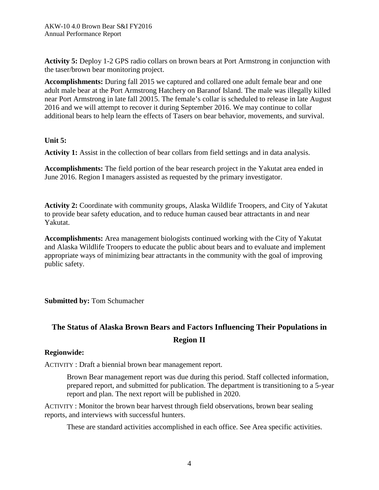**Activity 5:** Deploy 1-2 GPS radio collars on brown bears at Port Armstrong in conjunction with the taser/brown bear monitoring project.

**Accomplishments:** During fall 2015 we captured and collared one adult female bear and one adult male bear at the Port Armstrong Hatchery on Baranof Island. The male was illegally killed near Port Armstrong in late fall 20015. The female's collar is scheduled to release in late August 2016 and we will attempt to recover it during September 2016. We may continue to collar additional bears to help learn the effects of Tasers on bear behavior, movements, and survival.

## **Unit 5:**

**Activity 1:** Assist in the collection of bear collars from field settings and in data analysis.

**Accomplishments:** The field portion of the bear research project in the Yakutat area ended in June 2016. Region I managers assisted as requested by the primary investigator.

**Activity 2:** Coordinate with community groups, Alaska Wildlife Troopers, and City of Yakutat to provide bear safety education, and to reduce human caused bear attractants in and near Yakutat.

**Accomplishments:** Area management biologists continued working with the City of Yakutat and Alaska Wildlife Troopers to educate the public about bears and to evaluate and implement appropriate ways of minimizing bear attractants in the community with the goal of improving public safety.

# **Submitted by:** Tom Schumacher

# **The Status of Alaska Brown Bears and Factors Influencing Their Populations in Region II**

## **Regionwide:**

ACTIVITY : Draft a biennial brown bear management report.

Brown Bear management report was due during this period. Staff collected information, prepared report, and submitted for publication. The department is transitioning to a 5-year report and plan. The next report will be published in 2020.

ACTIVITY : Monitor the brown bear harvest through field observations, brown bear sealing reports, and interviews with successful hunters.

These are standard activities accomplished in each office. See Area specific activities.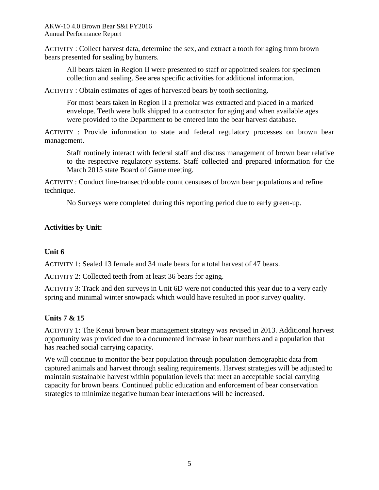ACTIVITY : Collect harvest data, determine the sex, and extract a tooth for aging from brown bears presented for sealing by hunters.

All bears taken in Region II were presented to staff or appointed sealers for specimen collection and sealing. See area specific activities for additional information.

ACTIVITY : Obtain estimates of ages of harvested bears by tooth sectioning.

For most bears taken in Region II a premolar was extracted and placed in a marked envelope. Teeth were bulk shipped to a contractor for aging and when available ages were provided to the Department to be entered into the bear harvest database.

ACTIVITY : Provide information to state and federal regulatory processes on brown bear management.

Staff routinely interact with federal staff and discuss management of brown bear relative to the respective regulatory systems. Staff collected and prepared information for the March 2015 state Board of Game meeting.

ACTIVITY : Conduct line-transect/double count censuses of brown bear populations and refine technique.

No Surveys were completed during this reporting period due to early green-up.

## **Activities by Unit:**

## **Unit 6**

ACTIVITY 1: Sealed 13 female and 34 male bears for a total harvest of 47 bears.

ACTIVITY 2: Collected teeth from at least 36 bears for aging.

ACTIVITY 3: Track and den surveys in Unit 6D were not conducted this year due to a very early spring and minimal winter snowpack which would have resulted in poor survey quality.

## **Units 7 & 15**

ACTIVITY 1: The Kenai brown bear management strategy was revised in 2013. Additional harvest opportunity was provided due to a documented increase in bear numbers and a population that has reached social carrying capacity.

We will continue to monitor the bear population through population demographic data from captured animals and harvest through sealing requirements. Harvest strategies will be adjusted to maintain sustainable harvest within population levels that meet an acceptable social carrying capacity for brown bears. Continued public education and enforcement of bear conservation strategies to minimize negative human bear interactions will be increased.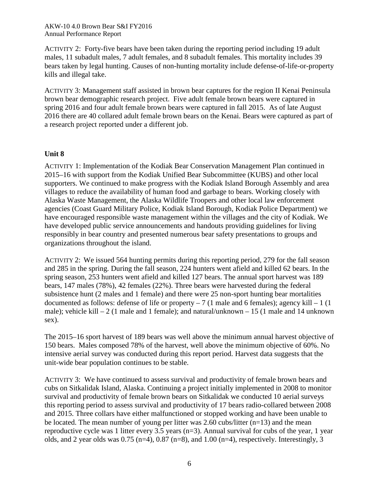ACTIVITY 2: Forty-five bears have been taken during the reporting period including 19 adult males, 11 subadult males, 7 adult females, and 8 subadult females. This mortality includes 39 bears taken by legal hunting. Causes of non-hunting mortality include defense-of-life-or-property kills and illegal take.

ACTIVITY 3: Management staff assisted in brown bear captures for the region II Kenai Peninsula brown bear demographic research project. Five adult female brown bears were captured in spring 2016 and four adult female brown bears were captured in fall 2015. As of late August 2016 there are 40 collared adult female brown bears on the Kenai. Bears were captured as part of a research project reported under a different job.

## **Unit 8**

ACTIVITY 1: Implementation of the Kodiak Bear Conservation Management Plan continued in 2015–16 with support from the Kodiak Unified Bear Subcommittee (KUBS) and other local supporters. We continued to make progress with the Kodiak Island Borough Assembly and area villages to reduce the availability of human food and garbage to bears. Working closely with Alaska Waste Management, the Alaska Wildlife Troopers and other local law enforcement agencies (Coast Guard Military Police, Kodiak Island Borough, Kodiak Police Department) we have encouraged responsible waste management within the villages and the city of Kodiak. We have developed public service announcements and handouts providing guidelines for living responsibly in bear country and presented numerous bear safety presentations to groups and organizations throughout the island.

ACTIVITY 2: We issued 564 hunting permits during this reporting period, 279 for the fall season and 285 in the spring. During the fall season, 224 hunters went afield and killed 62 bears. In the spring season, 253 hunters went afield and killed 127 bears. The annual sport harvest was 189 bears, 147 males (78%), 42 females (22%). Three bears were harvested during the federal subsistence hunt (2 males and 1 female) and there were 25 non-sport hunting bear mortalities documented as follows: defense of life or property  $-7$  (1 male and 6 females); agency kill  $-1$  (1 male); vehicle kill  $-2$  (1 male and 1 female); and natural/unknown  $-15$  (1 male and 14 unknown sex).

The 2015–16 sport harvest of 189 bears was well above the minimum annual harvest objective of 150 bears. Males composed 78% of the harvest, well above the minimum objective of 60%. No intensive aerial survey was conducted during this report period. Harvest data suggests that the unit-wide bear population continues to be stable.

ACTIVITY 3: We have continued to assess survival and productivity of female brown bears and cubs on Sitkalidak Island, Alaska. Continuing a project initially implemented in 2008 to monitor survival and productivity of female brown bears on Sitkalidak we conducted 10 aerial surveys this reporting period to assess survival and productivity of 17 bears radio-collared between 2008 and 2015. Three collars have either malfunctioned or stopped working and have been unable to be located. The mean number of young per litter was 2.60 cubs/litter  $(n=13)$  and the mean reproductive cycle was 1 litter every 3.5 years (n=3). Annual survival for cubs of the year, 1 year olds, and 2 year olds was  $0.75$  (n=4),  $0.87$  (n=8), and  $1.00$  (n=4), respectively. Interestingly, 3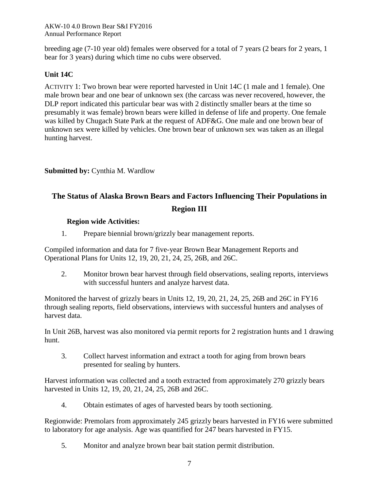breeding age (7-10 year old) females were observed for a total of 7 years (2 bears for 2 years, 1 bear for 3 years) during which time no cubs were observed.

# **Unit 14C**

ACTIVITY 1: Two brown bear were reported harvested in Unit 14C (1 male and 1 female). One male brown bear and one bear of unknown sex (the carcass was never recovered, however, the DLP report indicated this particular bear was with 2 distinctly smaller bears at the time so presumably it was female) brown bears were killed in defense of life and property. One female was killed by Chugach State Park at the request of ADF&G. One male and one brown bear of unknown sex were killed by vehicles. One brown bear of unknown sex was taken as an illegal hunting harvest.

## **Submitted by: Cynthia M. Wardlow**

# **The Status of Alaska Brown Bears and Factors Influencing Their Populations in**

## **Region III**

## **Region wide Activities:**

1. Prepare biennial brown/grizzly bear management reports.

Compiled information and data for 7 five-year Brown Bear Management Reports and Operational Plans for Units 12, 19, 20, 21, 24, 25, 26B, and 26C.

2. Monitor brown bear harvest through field observations, sealing reports, interviews with successful hunters and analyze harvest data.

Monitored the harvest of grizzly bears in Units 12, 19, 20, 21, 24, 25, 26B and 26C in FY16 through sealing reports, field observations, interviews with successful hunters and analyses of harvest data.

In Unit 26B, harvest was also monitored via permit reports for 2 registration hunts and 1 drawing hunt.

3. Collect harvest information and extract a tooth for aging from brown bears presented for sealing by hunters.

Harvest information was collected and a tooth extracted from approximately 270 grizzly bears harvested in Units 12, 19, 20, 21, 24, 25, 26B and 26C.

4. Obtain estimates of ages of harvested bears by tooth sectioning.

Regionwide: Premolars from approximately 245 grizzly bears harvested in FY16 were submitted to laboratory for age analysis. Age was quantified for 247 bears harvested in FY15.

5. Monitor and analyze brown bear bait station permit distribution.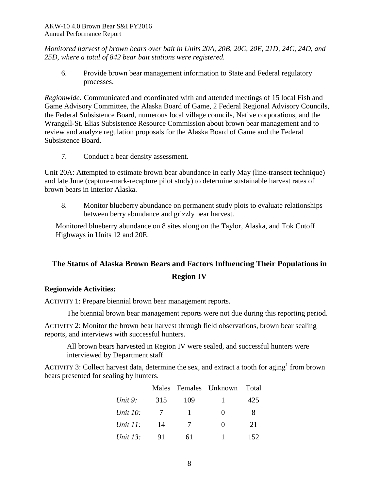*Monitored harvest of brown bears over bait in Units 20A, 20B, 20C, 20E, 21D, 24C, 24D, and 25D, where a total of 842 bear bait stations were registered.*

6. Provide brown bear management information to State and Federal regulatory processes.

*Regionwide:* Communicated and coordinated with and attended meetings of 15 local Fish and Game Advisory Committee, the Alaska Board of Game, 2 Federal Regional Advisory Councils, the Federal Subsistence Board, numerous local village councils, Native corporations, and the Wrangell-St. Elias Subsistence Resource Commission about brown bear management and to review and analyze regulation proposals for the Alaska Board of Game and the Federal Subsistence Board.

7. Conduct a bear density assessment.

Unit 20A: Attempted to estimate brown bear abundance in early May (line-transect technique) and late June (capture-mark-recapture pilot study) to determine sustainable harvest rates of brown bears in Interior Alaska.

8. Monitor blueberry abundance on permanent study plots to evaluate relationships between berry abundance and grizzly bear harvest.

Monitored blueberry abundance on 8 sites along on the Taylor, Alaska, and Tok Cutoff Highways in Units 12 and 20E.

# **The Status of Alaska Brown Bears and Factors Influencing Their Populations in Region IV**

## **Regionwide Activities:**

ACTIVITY 1: Prepare biennial brown bear management reports.

The biennial brown bear management reports were not due during this reporting period.

ACTIVITY 2: Monitor the brown bear harvest through field observations, brown bear sealing reports, and interviews with successful hunters.

All brown bears harvested in Region IV were sealed, and successful hunters were interviewed by Department staff.

ACTIVITY 3: Collect harvest data, determine the sex, and extract a tooth for aging<sup>1</sup> from brown bears presented for sealing by hunters.

|                 |     |        | Males Females Unknown Total |     |
|-----------------|-----|--------|-----------------------------|-----|
| Unit 9:         | 315 | 109    | L                           | 425 |
| <i>Unit 10:</i> | 7   | ш      | $\mathbf{0}$                | 8   |
| Unit $11$ :     | 14  | $\tau$ | $\mathbf{\Omega}$           | 21  |
| <i>Unit 13:</i> | 91  | 61     |                             | 152 |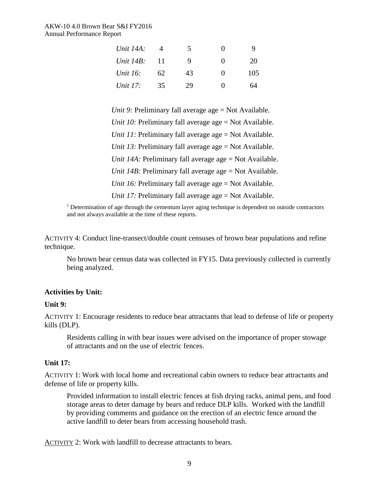| Unit 14A:<br>Unit 14B:<br>Unit 16:<br>Unit 17: |                | 5             | 0                           | Q.              |
|------------------------------------------------|----------------|---------------|-----------------------------|-----------------|
|                                                | 11<br>62<br>35 | 9<br>43<br>29 | $\mathbf{\Omega}$<br>0<br>0 | 20<br>105<br>64 |

*Unit 9:* Preliminary fall average age = Not Available. *Unit 10:* Preliminary fall average age = Not Available. *Unit 11:* Preliminary fall average age = Not Available. *Unit 13:* Preliminary fall average age = Not Available. *Unit 14A:* Preliminary fall average age = Not Available. *Unit 14B:* Preliminary fall average age = Not Available. *Unit 16:* Preliminary fall average age = Not Available. *Unit 17:* Preliminary fall average age = Not Available.

 $1$  Determination of age through the cementum layer aging technique is dependent on outside contractors and not always available at the time of these reports.

ACTIVITY 4: Conduct line-transect/double count censuses of brown bear populations and refine technique.

No brown bear census data was collected in FY15. Data previously collected is currently being analyzed.

## **Activities by Unit:**

### **Unit 9:**

ACTIVITY 1: Encourage residents to reduce bear attractants that lead to defense of life or property kills (DLP).

Residents calling in with bear issues were advised on the importance of proper stowage of attractants and on the use of electric fences.

### **Unit 17:**

ACTIVITY 1: Work with local home and recreational cabin owners to reduce bear attractants and defense of life or property kills.

Provided information to install electric fences at fish drying racks, animal pens, and food storage areas to deter damage by bears and reduce DLP kills. Worked with the landfill by providing comments and guidance on the erection of an electric fence around the active landfill to deter bears from accessing household trash.

ACTIVITY 2: Work with landfill to decrease attractants to bears.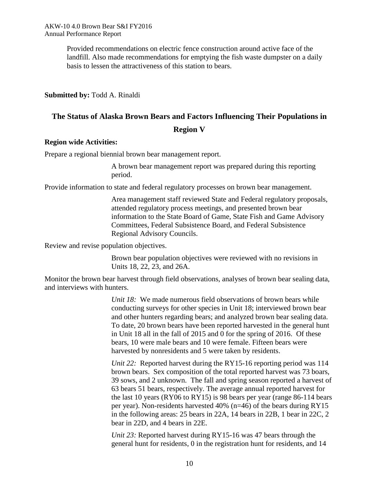Provided recommendations on electric fence construction around active face of the landfill. Also made recommendations for emptying the fish waste dumpster on a daily basis to lessen the attractiveness of this station to bears.

### **Submitted by:** Todd A. Rinaldi

# **The Status of Alaska Brown Bears and Factors Influencing Their Populations in Region V**

### **Region wide Activities:**

Prepare a regional biennial brown bear management report.

A brown bear management report was prepared during this reporting period.

Provide information to state and federal regulatory processes on brown bear management.

Area management staff reviewed State and Federal regulatory proposals, attended regulatory process meetings, and presented brown bear information to the State Board of Game, State Fish and Game Advisory Committees, Federal Subsistence Board, and Federal Subsistence Regional Advisory Councils.

Review and revise population objectives.

Brown bear population objectives were reviewed with no revisions in Units 18, 22, 23, and 26A.

Monitor the brown bear harvest through field observations, analyses of brown bear sealing data, and interviews with hunters.

> *Unit 18:* We made numerous field observations of brown bears while conducting surveys for other species in Unit 18; interviewed brown bear and other hunters regarding bears; and analyzed brown bear sealing data. To date, 20 brown bears have been reported harvested in the general hunt in Unit 18 all in the fall of 2015 and 0 for the spring of 2016. Of these bears, 10 were male bears and 10 were female. Fifteen bears were harvested by nonresidents and 5 were taken by residents.

*Unit 22:* Reported harvest during the RY15-16 reporting period was 114 brown bears. Sex composition of the total reported harvest was 73 boars, 39 sows, and 2 unknown. The fall and spring season reported a harvest of 63 bears 51 bears, respectively. The average annual reported harvest for the last 10 years (RY06 to RY15) is 98 bears per year (range 86-114 bears per year). Non-residents harvested 40% (n=46) of the bears during RY15 in the following areas: 25 bears in 22A, 14 bears in 22B, 1 bear in 22C, 2 bear in 22D, and 4 bears in 22E.

*Unit 23:* Reported harvest during RY15-16 was 47 bears through the general hunt for residents, 0 in the registration hunt for residents, and 14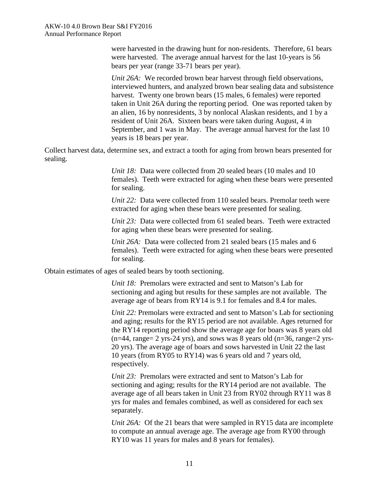were harvested in the drawing hunt for non-residents. Therefore, 61 bears were harvested. The average annual harvest for the last 10-years is 56 bears per year (range 33-71 bears per year).

*Unit 26A:* We recorded brown bear harvest through field observations, interviewed hunters, and analyzed brown bear sealing data and subsistence harvest. Twenty one brown bears (15 males, 6 females) were reported taken in Unit 26A during the reporting period. One was reported taken by an alien, 16 by nonresidents, 3 by nonlocal Alaskan residents, and 1 by a resident of Unit 26A. Sixteen bears were taken during August, 4 in September, and 1 was in May. The average annual harvest for the last 10 years is 18 bears per year.

Collect harvest data, determine sex, and extract a tooth for aging from brown bears presented for sealing.

> *Unit 18:* Data were collected from 20 sealed bears (10 males and 10) females). Teeth were extracted for aging when these bears were presented for sealing.

*Unit 22:* Data were collected from 110 sealed bears. Premolar teeth were extracted for aging when these bears were presented for sealing.

*Unit 23:* Data were collected from 61 sealed bears. Teeth were extracted for aging when these bears were presented for sealing.

*Unit 26A:* Data were collected from 21 sealed bears (15 males and 6 females). Teeth were extracted for aging when these bears were presented for sealing.

Obtain estimates of ages of sealed bears by tooth sectioning.

*Unit 18:* Premolars were extracted and sent to Matson's Lab for sectioning and aging but results for these samples are not available. The average age of bears from RY14 is 9.1 for females and 8.4 for males.

*Unit 22:* Premolars were extracted and sent to Matson's Lab for sectioning and aging; results for the RY15 period are not available. Ages returned for the RY14 reporting period show the average age for boars was 8 years old  $(n=44, range= 2$  yrs-24 yrs), and sows was 8 years old  $(n=36, range=2$  yrs-20 yrs). The average age of boars and sows harvested in Unit 22 the last 10 years (from RY05 to RY14) was 6 years old and 7 years old, respectively.

*Unit 23:* Premolars were extracted and sent to Matson's Lab for sectioning and aging; results for the RY14 period are not available. The average age of all bears taken in Unit 23 from RY02 through RY11 was 8 yrs for males and females combined, as well as considered for each sex separately.

*Unit 26A:* Of the 21 bears that were sampled in RY15 data are incomplete to compute an annual average age. The average age from RY00 through RY10 was 11 years for males and 8 years for females).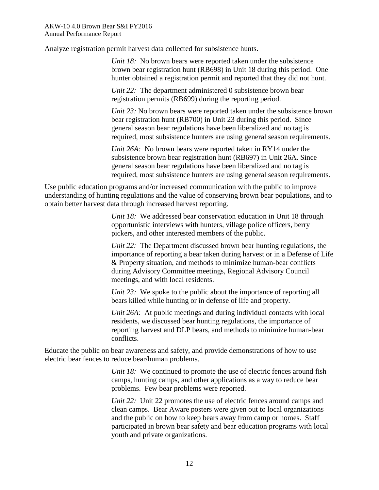Analyze registration permit harvest data collected for subsistence hunts.

*Unit 18:* No brown bears were reported taken under the subsistence brown bear registration hunt (RB698) in Unit 18 during this period. One hunter obtained a registration permit and reported that they did not hunt.

*Unit 22:* The department administered 0 subsistence brown bear registration permits (RB699) during the reporting period.

*Unit 23:* No brown bears were reported taken under the subsistence brown bear registration hunt (RB700) in Unit 23 during this period. Since general season bear regulations have been liberalized and no tag is required, most subsistence hunters are using general season requirements.

*Unit 26A:* No brown bears were reported taken in RY14 under the subsistence brown bear registration hunt (RB697) in Unit 26A. Since general season bear regulations have been liberalized and no tag is required, most subsistence hunters are using general season requirements.

Use public education programs and/or increased communication with the public to improve understanding of hunting regulations and the value of conserving brown bear populations, and to obtain better harvest data through increased harvest reporting.

> *Unit 18:* We addressed bear conservation education in Unit 18 through opportunistic interviews with hunters, village police officers, berry pickers, and other interested members of the public.

*Unit 22:* The Department discussed brown bear hunting regulations, the importance of reporting a bear taken during harvest or in a Defense of Life & Property situation, and methods to minimize human-bear conflicts during Advisory Committee meetings, Regional Advisory Council meetings, and with local residents.

*Unit 23:* We spoke to the public about the importance of reporting all bears killed while hunting or in defense of life and property.

*Unit 26A:* At public meetings and during individual contacts with local residents, we discussed bear hunting regulations, the importance of reporting harvest and DLP bears, and methods to minimize human-bear conflicts.

Educate the public on bear awareness and safety, and provide demonstrations of how to use electric bear fences to reduce bear/human problems.

> *Unit 18:* We continued to promote the use of electric fences around fish camps, hunting camps, and other applications as a way to reduce bear problems. Few bear problems were reported.

> *Unit 22:* Unit 22 promotes the use of electric fences around camps and clean camps. Bear Aware posters were given out to local organizations and the public on how to keep bears away from camp or homes. Staff participated in brown bear safety and bear education programs with local youth and private organizations.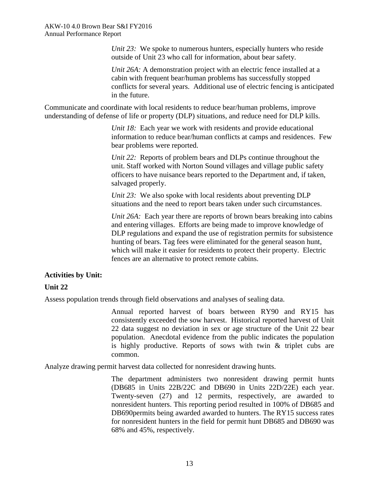*Unit 23:* We spoke to numerous hunters, especially hunters who reside outside of Unit 23 who call for information, about bear safety.

*Unit 26A:* A demonstration project with an electric fence installed at a cabin with frequent bear/human problems has successfully stopped conflicts for several years. Additional use of electric fencing is anticipated in the future.

Communicate and coordinate with local residents to reduce bear/human problems, improve understanding of defense of life or property (DLP) situations, and reduce need for DLP kills.

> *Unit 18:* Each year we work with residents and provide educational information to reduce bear/human conflicts at camps and residences. Few bear problems were reported.

*Unit 22:* Reports of problem bears and DLPs continue throughout the unit. Staff worked with Norton Sound villages and village public safety officers to have nuisance bears reported to the Department and, if taken, salvaged properly.

*Unit 23:* We also spoke with local residents about preventing DLP situations and the need to report bears taken under such circumstances.

*Unit 26A:* Each year there are reports of brown bears breaking into cabins and entering villages. Efforts are being made to improve knowledge of DLP regulations and expand the use of registration permits for subsistence hunting of bears. Tag fees were eliminated for the general season hunt, which will make it easier for residents to protect their property. Electric fences are an alternative to protect remote cabins.

## **Activities by Unit:**

## **Unit 22**

Assess population trends through field observations and analyses of sealing data.

Annual reported harvest of boars between RY90 and RY15 has consistently exceeded the sow harvest. Historical reported harvest of Unit 22 data suggest no deviation in sex or age structure of the Unit 22 bear population. Anecdotal evidence from the public indicates the population is highly productive. Reports of sows with twin & triplet cubs are common.

Analyze drawing permit harvest data collected for nonresident drawing hunts.

The department administers two nonresident drawing permit hunts (DB685 in Units 22B/22C and DB690 in Units 22D/22E) each year. Twenty-seven (27) and 12 permits, respectively, are awarded to nonresident hunters. This reporting period resulted in 100% of DB685 and DB690permits being awarded awarded to hunters. The RY15 success rates for nonresident hunters in the field for permit hunt DB685 and DB690 was 68% and 45%, respectively.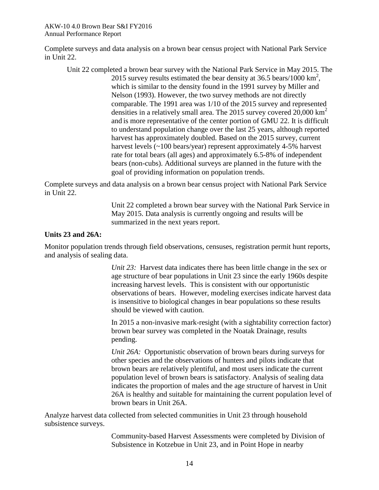Complete surveys and data analysis on a brown bear census project with National Park Service in Unit 22.

Unit 22 completed a brown bear survey with the National Park Service in May 2015. The 2015 survey results estimated the bear density at  $36.5$  bears/1000 km<sup>2</sup>, which is similar to the density found in the 1991 survey by Miller and Nelson (1993). However, the two survey methods are not directly comparable. The 1991 area was 1/10 of the 2015 survey and represented densities in a relatively small area. The 2015 survey covered 20,000 km<sup>2</sup> and is more representative of the center portion of GMU 22. It is difficult to understand population change over the last 25 years, although reported harvest has approximately doubled. Based on the 2015 survey, current harvest levels (~100 bears/year) represent approximately 4-5% harvest rate for total bears (all ages) and approximately 6.5-8% of independent bears (non-cubs). Additional surveys are planned in the future with the goal of providing information on population trends.

Complete surveys and data analysis on a brown bear census project with National Park Service in Unit 22.

> Unit 22 completed a brown bear survey with the National Park Service in May 2015. Data analysis is currently ongoing and results will be summarized in the next years report.

### **Units 23 and 26A:**

Monitor population trends through field observations, censuses, registration permit hunt reports, and analysis of sealing data.

> *Unit 23:* Harvest data indicates there has been little change in the sex or age structure of bear populations in Unit 23 since the early 1960s despite increasing harvest levels. This is consistent with our opportunistic observations of bears. However, modeling exercises indicate harvest data is insensitive to biological changes in bear populations so these results should be viewed with caution.

> In 2015 a non-invasive mark-resight (with a sightability correction factor) brown bear survey was completed in the Noatak Drainage, results pending.

> *Unit 26A:* Opportunistic observation of brown bears during surveys for other species and the observations of hunters and pilots indicate that brown bears are relatively plentiful, and most users indicate the current population level of brown bears is satisfactory. Analysis of sealing data indicates the proportion of males and the age structure of harvest in Unit 26A is healthy and suitable for maintaining the current population level of brown bears in Unit 26A.

Analyze harvest data collected from selected communities in Unit 23 through household subsistence surveys.

> Community-based Harvest Assessments were completed by Division of Subsistence in Kotzebue in Unit 23, and in Point Hope in nearby